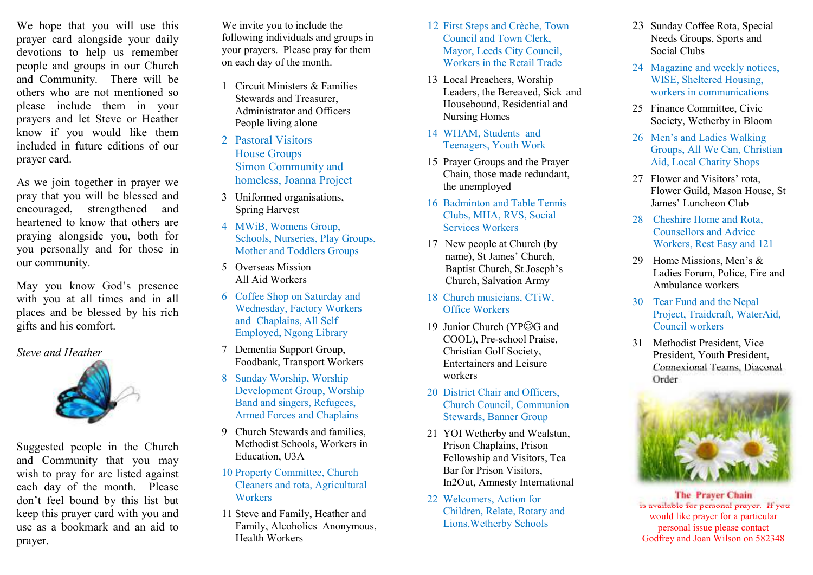We hope that you will use this prayer card alongside your daily devotions to help us remember people and groups in our Church and Community. There will be others who are not mentioned so please include them in your prayers and let Steve or Heather know if you would like them included in future editions of our prayer card.

As we join together in prayer we pray that you will be blessed and encouraged, strengthened and heartened to know that others are praying alongside you, both for you personally and for those in our community.

May you know God's presence with you at all times and in all places and be blessed by his rich gifts and his comfort.

*Steve and Heather* 



Suggested people in the Church and Community that you may wish to pray for are listed against each day of the month. Please don't feel bound by this list but keep this prayer card with you and use as a bookmark and an aid to prayer.

We invite you to include the following individuals and groups in your prayers. Please pray for them on each day of the month.

- 1 Circuit Ministers & Families Stewards and Treasurer, Administrator and Officers People living alone
- 2 Pastoral Visitors House Groups Simon Community and homeless, Joanna Project
- 3 Uniformed organisations, Spring Harvest
- 4 MWiB, Womens Group, Schools, Nurseries, Play Groups, Mother and Toddlers Groups
- 5 Overseas Mission All Aid Workers
- 6 Coffee Shop on Saturday and Wednesday, Factory Workers and Chaplains, All Self Employed, Ngong Library
- 7 Dementia Support Group, Foodbank, Transport Workers
- 8 Sunday Worship, Worship Development Group, Worship Band and singers, Refugees, Armed Forces and Chaplains
- 9 Church Stewards and families, Methodist Schools, Workers in Education, U3A
- 10 Property Committee, Church Cleaners and rota, Agricultural Workers
- 11 Steve and Family, Heather and Family, Alcoholics Anonymous, Health Workers
- 12 First Steps and Crèche, Town Council and Town Clerk, Mayor, Leeds City Council, Workers in the Retail Trade
- 13 Local Preachers, Worship Leaders, the Bereaved, Sick and Housebound, Residential and Nursing Homes
- 14 WHAM, Students and Teenagers, Youth Work
- 15 Prayer Groups and the Prayer Chain, those made redundant, the unemployed
- 16 Badminton and Table Tennis Clubs, MHA, RVS, Social Services Workers
- 17 New people at Church (by name), St James' Church, Baptist Church, St Joseph's Church, Salvation Army
- 18 Church musicians, CTiW, Office Workers
- 19 Junior Church (YP☺G and COOL), Pre-school Praise, Christian Golf Society, Entertainers and Leisure workers
- 20 District Chair and Officers. Church Council, Communion Stewards, Banner Group
- 21 YOI Wetherby and Wealstun, Prison Chaplains, Prison Fellowship and Visitors, Tea Bar for Prison Visitors, In2Out, Amnesty International
- 22 Welcomers, Action for Children, Relate, Rotary and Lions,Wetherby Schools
- 23 Sunday Coffee Rota, Special Needs Groups, Sports and Social Clubs
- 24 Magazine and weekly notices, WISE, Sheltered Housing, workers in communications
- 25 Finance Committee, Civic Society, Wetherby in Bloom
- 26 Men's and Ladies Walking Groups, All We Can, Christian Aid, Local Charity Shops
- 27 Flower and Visitors' rota, Flower Guild, Mason House, St James' Luncheon Club
- 28 Cheshire Home and Rota, Counsellors and Advice Workers, Rest Easy and 121
- 29 Home Missions, Men's & Ladies Forum, Police, Fire and Ambulance workers
- 30 Tear Fund and the Nepal Project, Traidcraft, WaterAid, Council workers
- 31 Methodist President, Vice President, Youth President, Connexional Teams, Diaconal Order



**The Prayer Chain**  is available for personal prayer. If you would like prayer for a particular personal issue please contact Godfrey and Joan Wilson on 582348